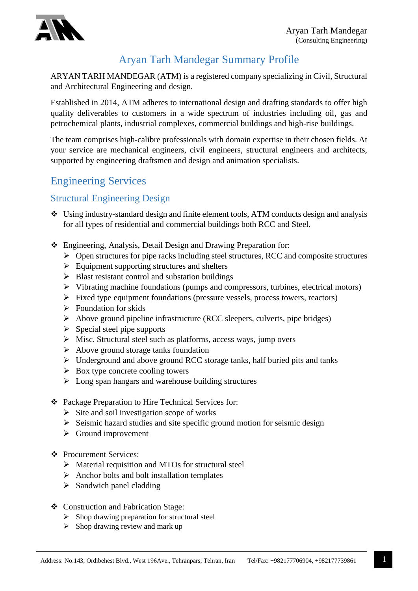

#### Aryan Tarh Mandegar Summary Profile

ARYAN TARH MANDEGAR (ATM) is a registered company specializing in Civil, Structural and Architectural Engineering and design.

Established in 2014, ATM adheres to international design and drafting standards to offer high quality deliverables to customers in a wide spectrum of industries including oil, gas and petrochemical plants, industrial complexes, commercial buildings and high-rise buildings.

The team comprises high-calibre professionals with domain expertise in their chosen fields. At your service are mechanical engineers, civil engineers, structural engineers and architects, supported by engineering draftsmen and design and animation specialists.

## Engineering Services

#### Structural Engineering Design

- Using industry-standard design and finite element tools, ATM conducts design and analysis for all types of residential and commercial buildings both RCC and Steel.
- Engineering, Analysis, Detail Design and Drawing Preparation for:
	- $\triangleright$  Open structures for pipe racks including steel structures, RCC and composite structures
	- $\triangleright$  Equipment supporting structures and shelters
	- $\triangleright$  Blast resistant control and substation buildings
	- $\triangleright$  Vibrating machine foundations (pumps and compressors, turbines, electrical motors)
	- $\triangleright$  Fixed type equipment foundations (pressure vessels, process towers, reactors)
	- $\triangleright$  Foundation for skids
	- $\triangleright$  Above ground pipeline infrastructure (RCC sleepers, culverts, pipe bridges)
	- $\triangleright$  Special steel pipe supports
	- $\triangleright$  Misc. Structural steel such as platforms, access ways, jump overs
	- $\triangleright$  Above ground storage tanks foundation
	- Underground and above ground RCC storage tanks, half buried pits and tanks
	- $\triangleright$  Box type concrete cooling towers
	- $\triangleright$  Long span hangars and warehouse building structures
- Package Preparation to Hire Technical Services for:
	- $\triangleright$  Site and soil investigation scope of works
	- $\triangleright$  Seismic hazard studies and site specific ground motion for seismic design
	- $\triangleright$  Ground improvement
- ❖ Procurement Services:
	- $\triangleright$  Material requisition and MTOs for structural steel
	- $\triangleright$  Anchor bolts and bolt installation templates
	- $\triangleright$  Sandwich panel cladding
- Construction and Fabrication Stage:
	- $\triangleright$  Shop drawing preparation for structural steel
	- $\triangleright$  Shop drawing review and mark up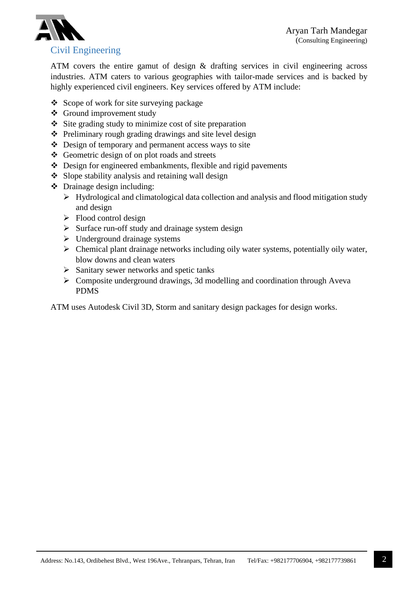

ATM covers the entire gamut of design & drafting services in civil engineering across industries. ATM caters to various geographies with tailor-made services and is backed by highly experienced civil engineers. Key services offered by ATM include:

- $\triangle$  Scope of work for site surveying package
- Ground improvement study
- $\div$  Site grading study to minimize cost of site preparation
- $\triangle$  Preliminary rough grading drawings and site level design
- $\triangle$  Design of temporary and permanent access ways to site
- Geometric design of on plot roads and streets
- Design for engineered embankments, flexible and rigid pavements
- $\bullet$  Slope stability analysis and retaining wall design
- Drainage design including:
	- Hydrological and climatological data collection and analysis and flood mitigation study and design
	- $\triangleright$  Flood control design
	- $\triangleright$  Surface run-off study and drainage system design
	- $\triangleright$  Underground drainage systems
	- $\triangleright$  Chemical plant drainage networks including oily water systems, potentially oily water, blow downs and clean waters
	- $\triangleright$  Sanitary sewer networks and spetic tanks
	- $\triangleright$  Composite underground drawings, 3d modelling and coordination through Aveva PDMS

ATM uses Autodesk Civil 3D, Storm and sanitary design packages for design works.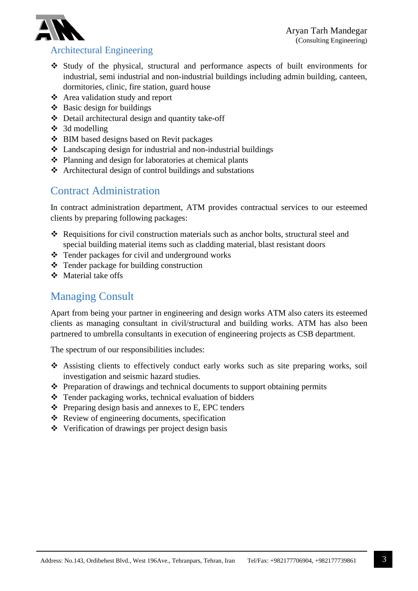

#### Architectural Engineering

- Study of the physical, structural and performance aspects of built environments for industrial, semi industrial and non-industrial buildings including admin building, canteen, dormitories, clinic, fire station, guard house
- Area validation study and report
- $\triangleleft$  Basic design for buildings
- Detail architectural design and quantity take-off
- $\div$  3d modelling
- BIM based designs based on Revit packages
- $\triangle$  Landscaping design for industrial and non-industrial buildings
- $\triangle$  Planning and design for laboratories at chemical plants
- Architectural design of control buildings and substations

## Contract Administration

In contract administration department, ATM provides contractual services to our esteemed clients by preparing following packages:

- \* Requisitions for civil construction materials such as anchor bolts, structural steel and special building material items such as cladding material, blast resistant doors
- Tender packages for civil and underground works
- Tender package for building construction
- $\triangle$  Material take offs

#### Managing Consult

Apart from being your partner in engineering and design works ATM also caters its esteemed clients as managing consultant in civil/structural and building works. ATM has also been partnered to umbrella consultants in execution of engineering projects as CSB department.

The spectrum of our responsibilities includes:

- Assisting clients to effectively conduct early works such as site preparing works, soil investigation and seismic hazard studies.
- $\triangle$  Preparation of drawings and technical documents to support obtaining permits
- Tender packaging works, technical evaluation of bidders
- $\triangle$  Preparing design basis and annexes to E, EPC tenders
- Review of engineering documents, specification
- Verification of drawings per project design basis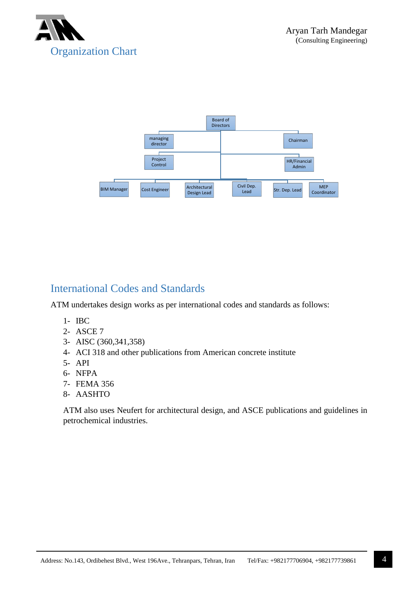



#### International Codes and Standards

ATM undertakes design works as per international codes and standards as follows:

- 1- IBC
- 2- ASCE 7
- 3- AISC (360,341,358)
- 4- ACI 318 and other publications from American concrete institute
- 5- API
- 6- NFPA
- 7- FEMA 356
- 8- AASHTO

ATM also uses Neufert for architectural design, and ASCE publications and guidelines in petrochemical industries.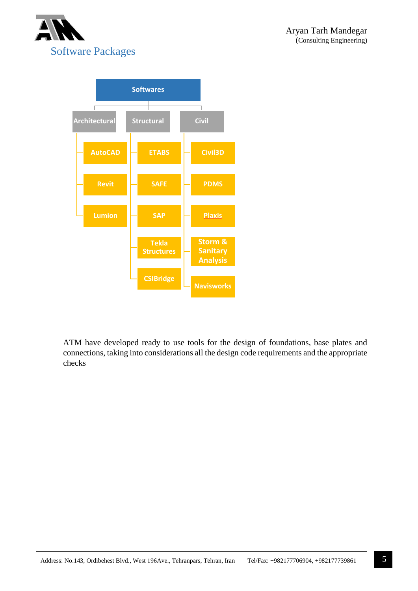



ATM have developed ready to use tools for the design of foundations, base plates and connections, taking into considerations all the design code requirements and the appropriate checks